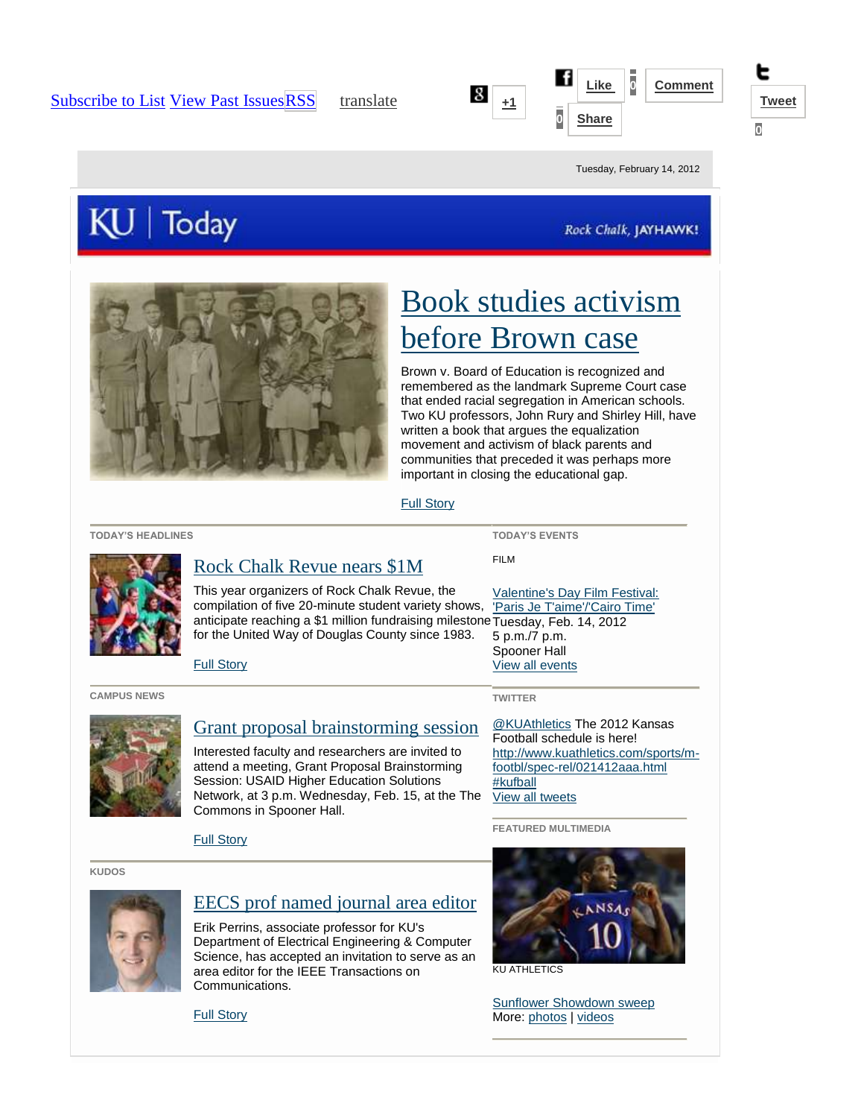





Tuesday, February 14, 2012

# KU | Today

Rock Chalk, JAYHAWK!



# [Book studies activism](http://www.news.ku.edu/2012/february/14/schooling.shtml)  [before Brown case](http://www.news.ku.edu/2012/february/14/schooling.shtml)

Brown v. Board of Education is recognized and remembered as the landmark Supreme Court case that ended racial segregation in American schools. Two KU professors, John Rury and Shirley Hill, have written a book that argues the equalization movement and activism of black parents and communities that preceded it was perhaps more important in closing the educational gap.

[Full Story](http://www.news.ku.edu/2012/february/14/schooling.shtml)

**TODAY'S HEADLINES**

## [Rock Chalk Revue nears \\$1M](http://www.news.ku.edu/2012/february/14/rockchalkrevue.shtml)

This year organizers of Rock Chalk Revue, the compilation of five 20-minute student variety shows, anticipate reaching a \$1 million fundraising milestone Tuesday, Feb. 14, 2012 for the United Way of Douglas County since 1983.

[Full Story](http://www.news.ku.edu/2012/february/14/rockchalkrevue.shtml)

**CAMPUS NEWS**



#### [Grant proposal brainstorming session](http://www.provost.ku.edu/planning/themes/opportunities.shtml)

Interested faculty and researchers are invited to attend a meeting, Grant Proposal Brainstorming Session: USAID Higher Education Solutions Network, at 3 p.m. Wednesday, Feb. 15, at the The Commons in Spooner Hall.

[Full Story](http://www.provost.ku.edu/planning/themes/opportunities.shtml)

[Full Story](http://www2.ku.edu/~kunews/cgi-bin/eecs-professor-erik-perrins-named-journals-area-editor)

**KUDOS**



### [EECS prof named journal area editor](http://www2.ku.edu/~kunews/cgi-bin/eecs-professor-erik-perrins-named-journals-area-editor)

Erik Perrins, associate professor for KU's Department of Electrical Engineering & Computer Science, has accepted an invitation to serve as an area editor for the IEEE Transactions on Communications.



KU ATHLETICS

[Sunflower Showdown sweep](http://www.kuathletics.com/view.gal?id=112572) More[: photos](http://www.flickr.com/universityofkansas/) | [videos](http://www.youtube.com/ku)

**TODAY'S EVENTS** FILM

[Valentine's Day Film Festival:](http://calendar.ku.edu/index.php?option=eventview&ce_id=42287)  ['Paris Je T'aime'/'Cairo Time'](http://calendar.ku.edu/index.php?option=eventview&ce_id=42287) 5 p.m./7 p.m. Spooner Hall [View all events](http://calendar.ku.edu/)

#### **TWITTER**

[@KUAthletics](http://twitter.com/kuathletics) The 2012 Kansas Football schedule is here! [http://www.kuathletics.com/sports/m](http://t.co/Vu0gWFbV)[footbl/spec-rel/021412aaa.html](http://t.co/Vu0gWFbV) [#kufball](http://twitter.com/search?q=kufball) [View all tweets](http://www.twitter.com/kunews) 

**FEATURED MULTIMEDIA**